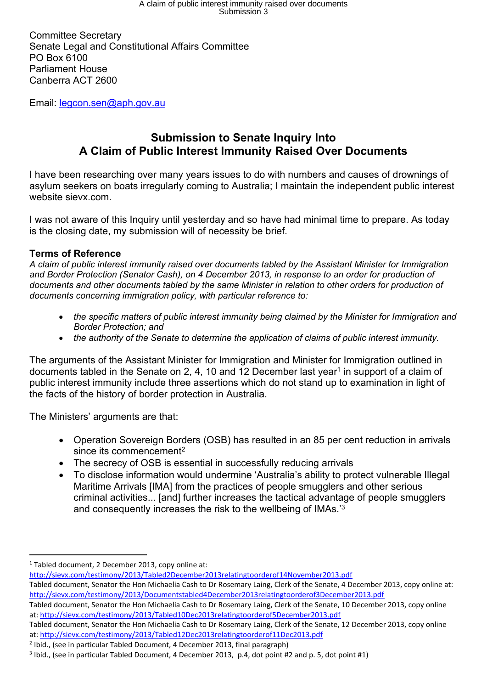Committee Secretary Senate Legal and Constitutional Affairs Committee PO Box 6100 Parliament House Canberra ACT 2600

Email: legcon.sen@aph.gov.au

# **Submission to Senate Inquiry Into A Claim of Public Interest Immunity Raised Over Documents**

I have been researching over many years issues to do with numbers and causes of drownings of asylum seekers on boats irregularly coming to Australia; I maintain the independent public interest website sievx.com.

I was not aware of this Inquiry until yesterday and so have had minimal time to prepare. As today is the closing date, my submission will of necessity be brief.

# **Terms of Reference**

*A claim of public interest immunity raised over documents tabled by the Assistant Minister for Immigration and Border Protection (Senator Cash), on 4 December 2013, in response to an order for production of documents and other documents tabled by the same Minister in relation to other orders for production of documents concerning immigration policy, with particular reference to:*

- *the specific matters of public interest immunity being claimed by the Minister for Immigration and Border Protection; and*
- *the authority of the Senate to determine the application of claims of public interest immunity.*

The arguments of the Assistant Minister for Immigration and Minister for Immigration outlined in documents tabled in the Senate on 2, 4, 10 and 12 December last year<sup>1</sup> in support of a claim of public interest immunity include three assertions which do not stand up to examination in light of the facts of the history of border protection in Australia.

The Ministers' arguments are that:

- Operation Sovereign Borders (OSB) has resulted in an 85 per cent reduction in arrivals since its commencement<sup>2</sup>
- The secrecy of OSB is essential in successfully reducing arrivals
- To disclose information would undermine 'Australia's ability to protect vulnerable Illegal Maritime Arrivals [IMA] from the practices of people smugglers and other serious criminal activities... [and] further increases the tactical advantage of people smugglers and consequently increases the risk to the wellbeing of IMAs.'<sup>3</sup>

http://sievx.com/testimony/2013/Tabled2December2013relatingtoorderof14November2013.pdf

<sup>&</sup>lt;sup>1</sup> Tabled document, 2 December 2013, copy online at:

Tabled document, Senator the Hon Michaelia Cash to Dr Rosemary Laing, Clerk of the Senate, 4 December 2013, copy online at: http://sievx.com/testimony/2013/Documentstabled4December2013relatingtoorderof3December2013.pdf

Tabled document, Senator the Hon Michaelia Cash to Dr Rosemary Laing, Clerk of the Senate, 10 December 2013, copy online at: http://sievx.com/testimony/2013/Tabled10Dec2013relatingtoorderof5December2013.pdf

Tabled document, Senator the Hon Michaelia Cash to Dr Rosemary Laing, Clerk of the Senate, 12 December 2013, copy online at: http://sievx.com/testimony/2013/Tabled12Dec2013relatingtoorderof11Dec2013.pdf

<sup>&</sup>lt;sup>2</sup> Ibid., (see in particular Tabled Document, 4 December 2013, final paragraph)

<sup>3</sup> Ibid., (see in particular Tabled Document, 4 December 2013, p.4, dot point #2 and p. 5, dot point #1)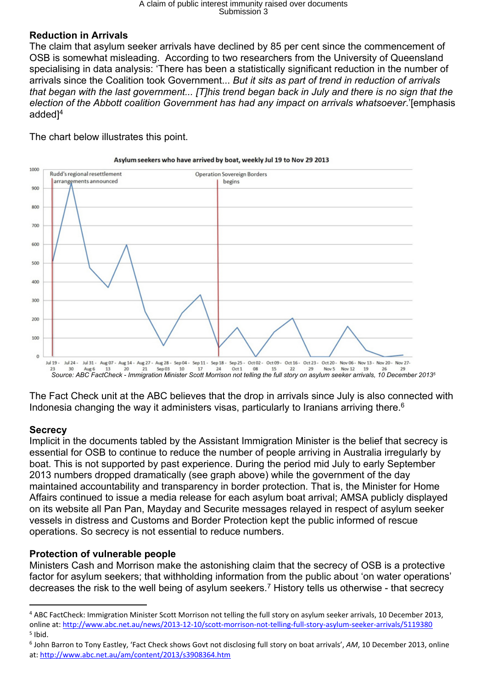# A claim of public interest immunity raised over documents Submission 3

#### **Reduction in Arrivals**

The claim that asylum seeker arrivals have declined by 85 per cent since the commencement of OSB is somewhat misleading. According to two researchers from the University of Queensland specialising in data analysis: 'There has been a statistically significant reduction in the number of arrivals since the Coalition took Government... *But it sits as part of trend in reduction of arrivals* that began with the last government... [T]his trend began back in July and there is no sign that the *election of the Abbott coalition Government has had any impact on arrivals whatsoever*.'[emphasis added<sup>14</sup>

The chart below illustrates this point.



Asylum seekers who have arrived by boat, weekly Jul 19 to Nov 29 2013

The Fact Check unit at the ABC believes that the drop in arrivals since July is also connected with Indonesia changing the way it administers visas, particularly to Iranians arriving there.<sup>6</sup>

# **Secrecy**

Implicit in the documents tabled by the Assistant Immigration Minister is the belief that secrecy is essential for OSB to continue to reduce the number of people arriving in Australia irregularly by boat. This is not supported by past experience. During the period mid July to early September 2013 numbers dropped dramatically (see graph above) while the government of the day maintained accountability and transparency in border protection. That is, the Minister for Home Affairs continued to issue a media release for each asylum boat arrival; AMSA publicly displayed on its website all Pan Pan, Mayday and Securite messages relayed in respect of asylum seeker vessels in distress and Customs and Border Protection kept the public informed of rescue operations. So secrecy is not essential to reduce numbers.

# **Protection of vulnerable people**

Ministers Cash and Morrison make the astonishing claim that the secrecy of OSB is a protective factor for asylum seekers; that withholding information from the public about 'on water operations' decreases the risk to the well being of asylum seekers.<sup>7</sup> History tells us otherwise - that secrecy

<sup>4</sup> ABC FactCheck: Immigration Minister Scott Morrison not telling the full story on asylum seeker arrivals, 10 December 2013, online at: http://www.abc.net.au/news/2013-12-10/scott-morrison-not-telling-full-story-asylum-seeker-arrivals/5119380 5 Ibid.

<sup>6</sup> John Barron to Tony Eastley, 'Fact Check shows Govt not disclosing full story on boat arrivals', *AM*, 10 December 2013, online at: http://www.abc.net.au/am/content/2013/s3908364.htm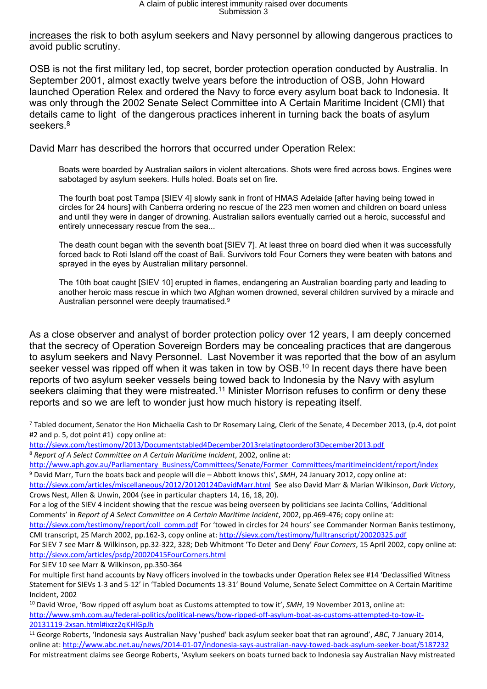increases the risk to both asylum seekers and Navy personnel by allowing dangerous practices to avoid public scrutiny.

OSB is not the first military led, top secret, border protection operation conducted by Australia. In September 2001, almost exactly twelve years before the introduction of OSB, John Howard launched Operation Relex and ordered the Navy to force every asylum boat back to Indonesia. It was only through the 2002 Senate Select Committee into A Certain Maritime Incident (CMI) that details came to light of the dangerous practices inherent in turning back the boats of asylum seekers.<sup>8</sup>

David Marr has described the horrors that occurred under Operation Relex:

Boats were boarded by Australian sailors in violent altercations. Shots were fired across bows. Engines were sabotaged by asylum seekers. Hulls holed. Boats set on fire.

The fourth boat post Tampa [SIEV 4] slowly sank in front of HMAS Adelaide [after having being towed in circles for 24 hours] with Canberra ordering no rescue of the 223 men women and children on board unless and until they were in danger of drowning. Australian sailors eventually carried out a heroic, successful and entirely unnecessary rescue from the sea...

The death count began with the seventh boat [SIEV 7]. At least three on board died when it was successfully forced back to Roti Island off the coast of Bali. Survivors told Four Corners they were beaten with batons and sprayed in the eyes by Australian military personnel.

The 10th boat caught [SIEV 10] erupted in flames, endangering an Australian boarding party and leading to another heroic mass rescue in which two Afghan women drowned, several children survived by a miracle and Australian personnel were deeply traumatised.<sup>9</sup>

As a close observer and analyst of border protection policy over 12 years, I am deeply concerned that the secrecy of Operation Sovereign Borders may be concealing practices that are dangerous to asylum seekers and Navy Personnel. Last November it was reported that the bow of an asylum seeker vessel was ripped off when it was taken in tow by OSB.<sup>10</sup> In recent days there have been reports of two asylum seeker vessels being towed back to Indonesia by the Navy with asylum seekers claiming that they were mistreated.<sup>11</sup> Minister Morrison refuses to confirm or deny these reports and so we are left to wonder just how much history is repeating itself.

<sup>7</sup> Tabled document, Senator the Hon Michaelia Cash to Dr Rosemary Laing, Clerk of the Senate, 4 December 2013, (p.4, dot point #2 and p. 5, dot point #1) copy online at:

http://sievx.com/testimony/2013/Documentstabled4December2013relatingtoorderof3December2013.pdf

<sup>8</sup> *Report of A Select Committee on A Certain Maritime Incident*, 2002, online at:

http://www.aph.gov.au/Parliamentary Business/Committees/Senate/Former Committees/maritimeincident/report/index <sup>9</sup> David Marr, Turn the boats back and people will die – Abbott knows this', *SMH*, 24 January 2012, copy online at:

http://sievx.com/articles/miscellaneous/2012/20120124DavidMarr.html See also David Marr & Marian Wilkinson, *Dark Victory*, Crows Nest, Allen & Unwin, 2004 (see in particular chapters 14, 16, 18, 20).

For a log of the SIEV 4 incident showing that the rescue was being overseen by politicians see Jacinta Collins, 'Additional Comments' in *Report of A Select Committee on A Certain Maritime Incident*, 2002, pp.469-476; copy online at:

http://sievx.com/testimony/report/coll\_comm.pdf For 'towed in circles for 24 hours' see Commander Norman Banks testimony, CMI transcript, 25 March 2002, pp.162-3, copy online at: http://sievx.com/testimony/fulltranscript/20020325.pdf

For SIEV 7 see Marr & Wilkinson, pp.32-322, 328; Deb Whitmont 'To Deter and Deny' *Four Corners*, 15 April 2002, copy online at: http://sievx.com/articles/psdp/20020415FourCorners.html

For SIEV 10 see Marr & Wilkinson, pp.350-364

<sup>10</sup> David Wroe, 'Bow ripped off asylum boat as Customs attempted to tow it', *SMH*, 19 November 2013, online at: http://www.smh.com.au/federal-politics/political-news/bow-ripped-off-asylum-boat-as-customs-attempted-to-tow-it-20131119-2xsan.html#ixzz2qKHlGpJh

<sup>11</sup> George Roberts, 'Indonesia says Australian Navy 'pushed' back asylum seeker boat that ran aground', *ABC*, 7 January 2014, online at: http://www.abc.net.au/news/2014-01-07/indonesia-says-australian-navy-towed-back-asylum-seeker-boat/5187232 For mistreatment claims see George Roberts, 'Asylum seekers on boats turned back to Indonesia say Australian Navy mistreated

For multiple first hand accounts by Navy officers involved in the towbacks under Operation Relex see #14 'Declassified Witness Statement for SIEVs 1-3 and 5-12' in 'Tabled Documents 13-31' Bound Volume, Senate Select Committee on A Certain Maritime Incident, 2002